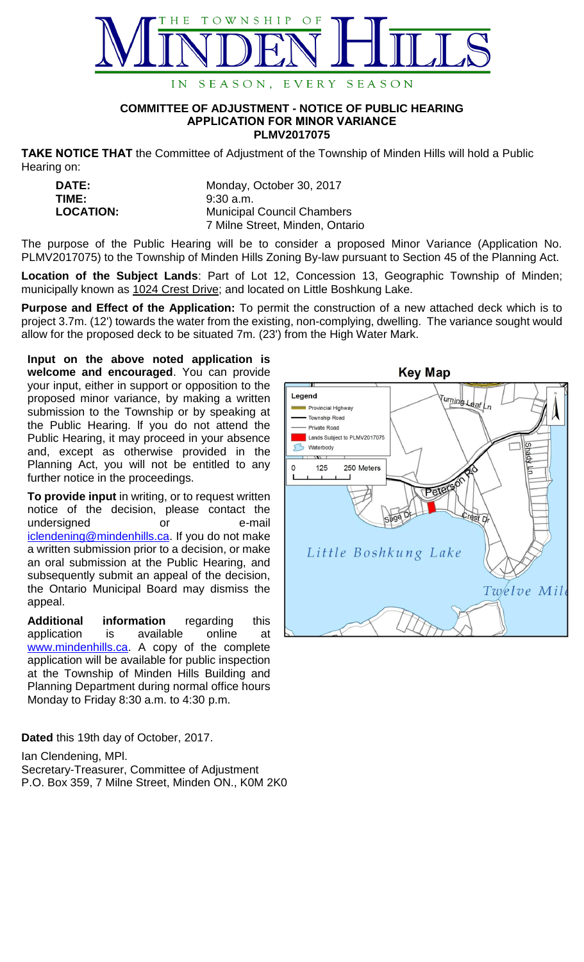

## **COMMITTEE OF ADJUSTMENT - NOTICE OF PUBLIC HEARING APPLICATION FOR MINOR VARIANCE PLMV2017075**

**TAKE NOTICE THAT** the Committee of Adjustment of the Township of Minden Hills will hold a Public Hearing on:

| <b>DATE:</b>     | Monday, October 30, 2017          |
|------------------|-----------------------------------|
| TIME:            | $9:30$ a.m.                       |
| <b>LOCATION:</b> | <b>Municipal Council Chambers</b> |
|                  | 7 Milne Street, Minden, Ontario   |

The purpose of the Public Hearing will be to consider a proposed Minor Variance (Application No. PLMV2017075) to the Township of Minden Hills Zoning By-law pursuant to Section 45 of the Planning Act.

**Location of the Subject Lands**: Part of Lot 12, Concession 13, Geographic Township of Minden; municipally known as 1024 Crest Drive; and located on Little Boshkung Lake.

**Purpose and Effect of the Application:** To permit the construction of a new attached deck which is to project 3.7m. (12') towards the water from the existing, non-complying, dwelling. The variance sought would allow for the proposed deck to be situated 7m. (23') from the High Water Mark.

**Input on the above noted application is welcome and encouraged**. You can provide your input, either in support or opposition to the proposed minor variance, by making a written submission to the Township or by speaking at the Public Hearing. lf you do not attend the Public Hearing, it may proceed in your absence and, except as otherwise provided in the Planning Act, you will not be entitled to any further notice in the proceedings.

**To provide input** in writing, or to request written notice of the decision, please contact the undersigned or e-mail [iclendening@mindenhills.ca.](mailto:iclendening@mindenhills.ca) If you do not make a written submission prior to a decision, or make an oral submission at the Public Hearing, and subsequently submit an appeal of the decision, the Ontario Municipal Board may dismiss the appeal.

**Additional information** regarding this application is available online at [www.mindenhills.ca.](http://www.mindenhills.ca/) A copy of the complete application will be available for public inspection at the Township of Minden Hills Building and Planning Department during normal office hours Monday to Friday 8:30 a.m. to 4:30 p.m.

**Dated** this 19th day of October, 2017.

Ian Clendening, MPl.

Secretary-Treasurer, Committee of Adjustment P.O. Box 359, 7 Milne Street, Minden ON., K0M 2K0

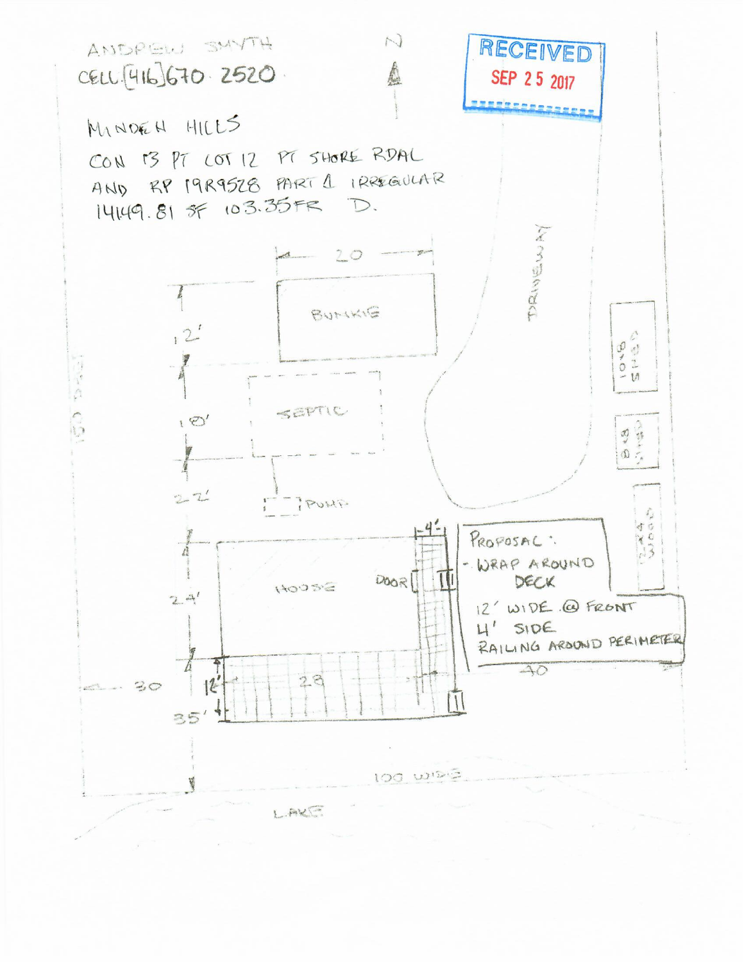